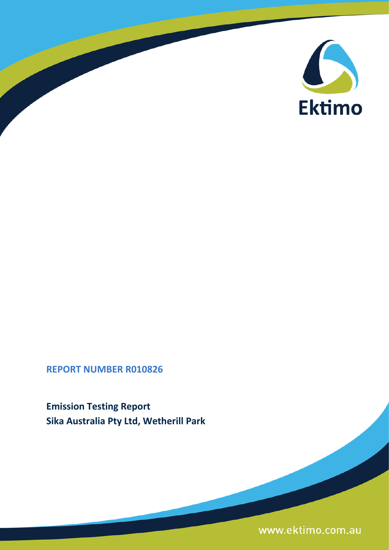

# **REPORT NUMBER R010826**

**Emission Testing Report Sika Australia Pty Ltd, Wetherill Park**

www.ektimo.com.au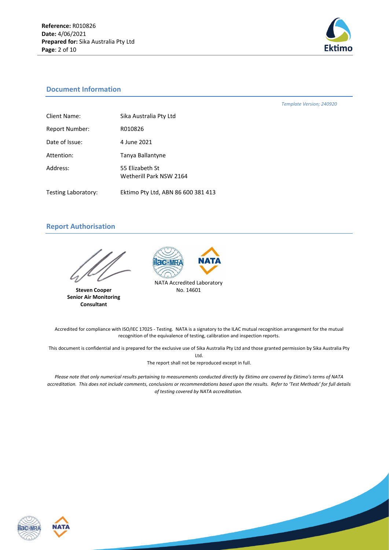

### **Document Information**

*Template Version; 240920*

| Client Name:          | Sika Australia Pty Ltd                     |
|-----------------------|--------------------------------------------|
| <b>Report Number:</b> | R010826                                    |
| Date of Issue:        | 4 June 2021                                |
| Attention:            | Tanya Ballantyne                           |
| Address:              | 55 Elizabeth St<br>Wetherill Park NSW 2164 |
| Testing Laboratory:   | Ektimo Pty Ltd, ABN 86 600 381 413         |

# **Report Authorisation**

**Steven Cooper Senior Air Monitoring Consultant**



Accredited for compliance with ISO/IEC 17025 - Testing. NATA is a signatory to the ILAC mutual recognition arrangement for the mutual recognition of the equivalence of testing, calibration and inspection reports.

This document is confidential and is prepared for the exclusive use of Sika Australia Pty Ltd and those granted permission by Sika Australia Pty Ltd.

The report shall not be reproduced except in full.

*Please note that only numerical results pertaining to measurements conducted directly by Ektimo are covered by Ektimo's terms of NATA accreditation. This does not include comments, conclusions or recommendations based upon the results. Refer to 'Test Methods' for full details of testing covered by NATA accreditation.*



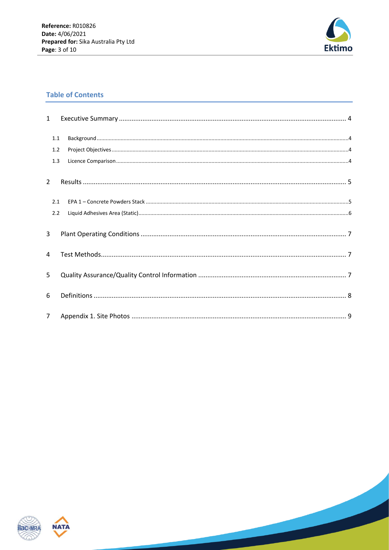

# **Table of Contents**

| $\mathbf{1}$  |     |  |
|---------------|-----|--|
|               | 1.1 |  |
|               | 1.2 |  |
|               | 1.3 |  |
| $\mathcal{P}$ |     |  |
|               | 2.1 |  |
|               | 2.2 |  |
| 3             |     |  |
| 4             |     |  |
| 5             |     |  |
| 6             |     |  |
| $7^{\circ}$   |     |  |



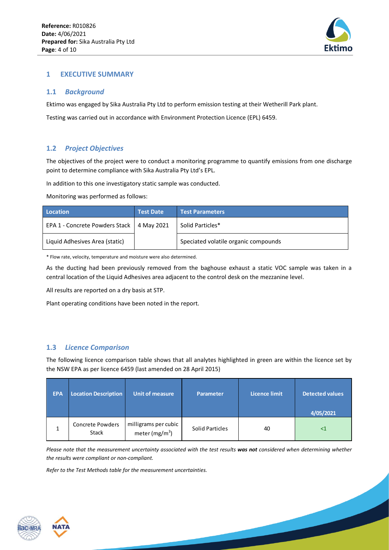

# <span id="page-3-0"></span>**1 EXECUTIVE SUMMARY**

#### <span id="page-3-1"></span>**1.1** *Background*

Ektimo was engaged by Sika Australia Pty Ltd to perform emission testing at their Wetherill Park plant.

Testing was carried out in accordance with Environment Protection Licence (EPL) 6459.

# <span id="page-3-2"></span>**1.2** *Project Objectives*

The objectives of the project were to conduct a monitoring programme to quantify emissions from one discharge point to determine compliance with Sika Australia Pty Ltd's EPL.

In addition to this one investigatory static sample was conducted.

Monitoring was performed as follows:

| Location                       | <b>Test Date</b> | <b>Test Parameters</b>               |
|--------------------------------|------------------|--------------------------------------|
| EPA 1 - Concrete Powders Stack | 4 May 2021       | Solid Particles*                     |
| Liquid Adhesives Area (static) |                  | Speciated volatile organic compounds |

\* Flow rate, velocity, temperature and moisture were also determined.

As the ducting had been previously removed from the baghouse exhaust a static VOC sample was taken in a central location of the Liquid Adhesives area adjacent to the control desk on the mezzanine level.

All results are reported on a dry basis at STP.

Plant operating conditions have been noted in the report.

# <span id="page-3-3"></span>**1.3** *Licence Comparison*

The following licence comparison table shows that all analytes highlighted in green are within the licence set by the NSW EPA as per licence 6459 (last amended on 28 April 2015)

| <b>EPA</b> | <b>Location Description</b>             | <b>Unit of measure</b>                    | Parameter              | <b>Licence limit</b> | <b>Detected values</b><br>4/05/2021 |
|------------|-----------------------------------------|-------------------------------------------|------------------------|----------------------|-------------------------------------|
|            | <b>Concrete Powders</b><br><b>Stack</b> | milligrams per cubic<br>meter (mg/m $^3)$ | <b>Solid Particles</b> | 40                   | <1                                  |

*Please note that the measurement uncertainty associated with the test results was not considered when determining whether the results were compliant or non-compliant.* 

*Refer to the Test Methods table for the measurement uncertainties.*



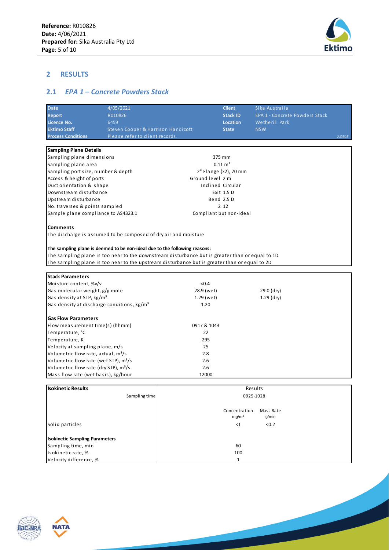

# <span id="page-4-0"></span>**2 RESULTS**

# <span id="page-4-1"></span>**2.1** *EPA 1 – Concrete Powders Stack*

| <b>Date</b>                                            | 4/05/2021                                                                                                                                                                                                                                                                                                                                         | <b>Client</b>           | Sika Australia                 |            |
|--------------------------------------------------------|---------------------------------------------------------------------------------------------------------------------------------------------------------------------------------------------------------------------------------------------------------------------------------------------------------------------------------------------------|-------------------------|--------------------------------|------------|
| <b>Report</b>                                          | R010826                                                                                                                                                                                                                                                                                                                                           | <b>Stack ID</b>         | EPA 1 - Concrete Powders Stack |            |
| Licence No.                                            | 6459                                                                                                                                                                                                                                                                                                                                              | <b>Location</b>         | Wetherill Park                 |            |
| <b>Ektimo Staff</b>                                    | Steven Cooper & Harrison Handicott                                                                                                                                                                                                                                                                                                                | <b>State</b>            | <b>NSW</b>                     |            |
| <b>Process Conditions</b>                              | Please refer to client records.                                                                                                                                                                                                                                                                                                                   |                         |                                | 2 10 5 0 3 |
|                                                        |                                                                                                                                                                                                                                                                                                                                                   |                         |                                |            |
| <b>Sampling Plane Details</b>                          |                                                                                                                                                                                                                                                                                                                                                   |                         |                                |            |
| Sampling plane dimensions                              |                                                                                                                                                                                                                                                                                                                                                   | 375 mm                  |                                |            |
| Sampling plane area                                    |                                                                                                                                                                                                                                                                                                                                                   | $0.11 \text{ m}^2$      |                                |            |
| Sampling port size, number & depth                     |                                                                                                                                                                                                                                                                                                                                                   | 2" Flange (x2), 70 mm   |                                |            |
| Access & height of ports                               |                                                                                                                                                                                                                                                                                                                                                   | Ground level 2 m        |                                |            |
| Duct orientation & shape                               |                                                                                                                                                                                                                                                                                                                                                   | Inclined Circular       |                                |            |
| Downstream disturbance                                 |                                                                                                                                                                                                                                                                                                                                                   | Exit 1.5 D              |                                |            |
| Upstream disturbance                                   |                                                                                                                                                                                                                                                                                                                                                   | Bend 2.5 D              |                                |            |
| No. traverses & points sampled                         |                                                                                                                                                                                                                                                                                                                                                   | 2 1 2                   |                                |            |
| Sample plane compliance to AS4323.1                    |                                                                                                                                                                                                                                                                                                                                                   | Compliant but non-ideal |                                |            |
|                                                        | The discharge is assumed to be composed of dry air and moisture<br>The sampling plane is deemed to be non-ideal due to the following reasons:<br>The sampling plane is too near to the downstream disturbance but is greater than or equal to 1D<br>The sampling plane is too near to the upstream disturbance but is greater than or equal to 2D |                         |                                |            |
| <b>Stack Parameters</b>                                |                                                                                                                                                                                                                                                                                                                                                   |                         |                                |            |
| Moisture content, %v/v                                 |                                                                                                                                                                                                                                                                                                                                                   | < 0.4                   |                                |            |
| Gas molecular weight, g/g mole                         |                                                                                                                                                                                                                                                                                                                                                   | 28.9 (wet)              | 29.0 (dry)                     |            |
| Gas density at STP, kg/m <sup>3</sup>                  |                                                                                                                                                                                                                                                                                                                                                   | 1.29 (wet)              | $1.29$ (dry)                   |            |
| Gas density at discharge conditions, kg/m <sup>3</sup> |                                                                                                                                                                                                                                                                                                                                                   | 1.20                    |                                |            |
| <b>Gas Flow Parameters</b>                             |                                                                                                                                                                                                                                                                                                                                                   |                         |                                |            |
| Flow measurement time(s) (hhmm)                        |                                                                                                                                                                                                                                                                                                                                                   | 0917 & 1043             |                                |            |
| Temperature, °C                                        |                                                                                                                                                                                                                                                                                                                                                   | 22                      |                                |            |
| Temperature, K                                         |                                                                                                                                                                                                                                                                                                                                                   | 295                     |                                |            |
| Velocity at sampling plane, m/s                        |                                                                                                                                                                                                                                                                                                                                                   | 25                      |                                |            |
| Volumetric flow rate, actual, m <sup>3</sup> /s        |                                                                                                                                                                                                                                                                                                                                                   | 2.8                     |                                |            |
| Volumetric flow rate (wet STP), m <sup>3</sup> /s      |                                                                                                                                                                                                                                                                                                                                                   | 2.6                     |                                |            |
| Volumetric flow rate (dry STP), m <sup>3</sup> /s      |                                                                                                                                                                                                                                                                                                                                                   | 2.6                     |                                |            |
| Mass flow rate (wet basis), kg/hour                    |                                                                                                                                                                                                                                                                                                                                                   | 12000                   |                                |            |

| <b>Isokinetic Results</b>             | Results                                                  |  |
|---------------------------------------|----------------------------------------------------------|--|
| Sampling time                         | 0925-1028                                                |  |
|                                       | Concentration<br>Mass Rate<br>g/min<br>mq/m <sup>3</sup> |  |
| Solid particles                       | < 0.2<br>${<}1$                                          |  |
| <b>Isokinetic Sampling Parameters</b> |                                                          |  |
| Sampling time, min                    | 60                                                       |  |
| Isokinetic rate, %                    | 100                                                      |  |
| Velocity difference, %                |                                                          |  |



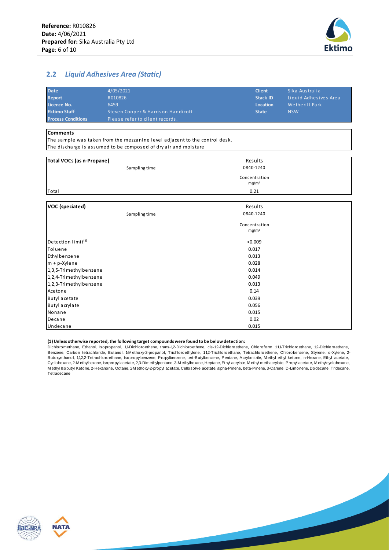

# <span id="page-5-0"></span>**2.2** *Liquid Adhesives Area (Static)*

| <b>Date</b>               | 4/05/2021                          | <b>Client</b>   | Sika Australia        |
|---------------------------|------------------------------------|-----------------|-----------------------|
| <b>Report</b>             | R010826                            | <b>Stack ID</b> | Liquid Adhesives Area |
| Licence No.               | 6459                               | Location        | Wetherill Park        |
| <b>Ektimo Staff</b>       | Steven Cooper & Harrison Handicott | <b>State</b>    | <b>NSW</b>            |
| <b>Process Conditions</b> | Please refer to client records.    |                 |                       |
|                           |                                    |                 |                       |

#### **Comments**

Acetone Butyl acetate Butyl acrylate Nonane Decane Undecane

The discharge is assumed to be composed of dry air and moisture The sample was taken from the mezzanine level adjacent to the control desk.

| Total VOCs (as n-Propane)      | Results           |  |  |
|--------------------------------|-------------------|--|--|
| Sampling time                  | 0840-1240         |  |  |
|                                | Concentration     |  |  |
|                                | mg/m <sup>3</sup> |  |  |
| Total                          | 0.21              |  |  |
|                                |                   |  |  |
| VOC (speciated)                | Results           |  |  |
| Sampling time                  | 0840-1240         |  |  |
|                                | Concentration     |  |  |
|                                | mg/m <sup>3</sup> |  |  |
| Detection limit <sup>(1)</sup> | < 0.009           |  |  |
| Toluene                        | 0.017             |  |  |
| Ethylbenzene                   | 0.013             |  |  |
| $m + p$ -Xylene                | 0.028             |  |  |
| 1,3,5-Trimethylbenzene         | 0.014             |  |  |
| 1,2,4-Trimethylbenzene         | 0.049             |  |  |
| 1,2,3-Trimethylbenzene         | 0.013             |  |  |

#### **(1) Unless otherwise reported, the following target compounds were found to be below detection:**

Dichloromethane, Ethanol, Isopropanol, 1,1-Dichloroethene, trans-1,2-Dichloroethene, cis-1,2-Dichloroethene, Chloroform, 1,1,1-Trichloroethane, 1,2-Dichloroethane, (1) Unless otherwise reported, the following target compounds were found to be below detection:<br>Dichloromethane, Ethanol, Isopropanol, 1,1-Dichloroethene, trans-1,2-Dichloroethene, cis-1,2-Dichloroethene, Chloroform, 1,1,1 (1) Unless otherwise reported, the following target compounds were found to be below detection:<br>Dichloromethane, Ethanol, Isopropanol, 1, Dichloroethene, trans-1,2-Dichloroethene, cis-1,2-Dichloroethene, Chloroform, 1,1,4-(1) Onless otherwise reported, the ioniowing target compounts were iound to be below detection:<br>Dichloromethane, Ethanol, Isopropanol, 1,4Dichloroethene, trans-1,2-Dichloroethene, cis-1,2-Dichloroethene, Chloroform, 1,1,4T Dichloromethane, Ethanol, Isopropanol, 1,1-Dichloroethene, trans-1,2-Dichloroethene, cis-1,2-Dichloroethene, Chlorotorm, 1,1,1-I richloroethane, 1,2-Dichloroethane, Benzene, Carbon tetrachloride, Butanol, 1-M ethoxy-2-prop Tetradecane

0.015

0.039

0.056 0.015 0.02

0.14



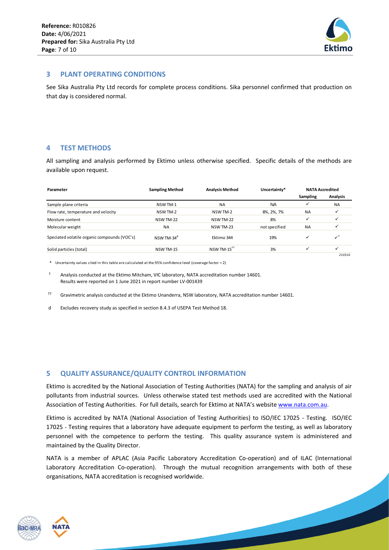

#### <span id="page-6-0"></span>**3 PLANT OPERATING CONDITIONS**

See Sika Australia Pty Ltd records for complete process conditions. Sika personnel confirmed that production on that day is considered normal.

### <span id="page-6-1"></span>**4 TEST METHODS**

All sampling and analysis performed by Ektimo unless otherwise specified. Specific details of the methods are available upon request.

| avallable upoll request.                     |                        |                         |               |                        |                           |
|----------------------------------------------|------------------------|-------------------------|---------------|------------------------|---------------------------|
| Parameter                                    | <b>Sampling Method</b> | <b>Analysis Method</b>  | Uncertainty*  | <b>NATA Accredited</b> |                           |
|                                              |                        |                         |               | Sampling               | Analysis                  |
| Sample plane criteria                        | NSW TM-1               | <b>NA</b>               | <b>NA</b>     | ✓                      | <b>NA</b>                 |
| Flow rate, temperature and velocity          | NSW TM-2               | NSW TM-2                | 8%, 2%, 7%    | <b>NA</b>              | ✓                         |
| Moisture content                             | NSW TM-22              | NSW TM-22               | 8%            | $\checkmark$           | ✓                         |
| Molecular weight                             | <b>NA</b>              | NSW TM-23               | not specified | <b>NA</b>              |                           |
| Speciated volatile organic compounds (VOC's) | NSW TM-34 <sup>d</sup> | Ektimo 344              | 19%           | $\checkmark$           | $\checkmark$ <sup>+</sup> |
| Solid particles (total)                      | NSW TM-15              | NSW TM-15 <sup>++</sup> | 3%            | $\checkmark$           | ✓                         |
|                                              |                        |                         |               |                        | 210316                    |

\* Uncertainty values cited in this table are calculated at the 95% confidence level (coverage factor = 2)

† Analysis conducted at the Ektimo Mitcham, VIC laboratory, NATA accreditation number 14601. Results were reported on 1 June 2021 in report number LV-001439

†† Gravimetric analysis conducted at the Ektimo Unanderra, NSW laboratory, NATA accreditation number 14601.

<span id="page-6-2"></span>d Excludes recovery study as specified in section 8.4.3 of USEPA Test Method 18.

#### **5 QUALITY ASSURANCE/QUALITY CONTROL INFORMATION**

Ektimo is accredited by the National Association of Testing Authorities (NATA) for the sampling and analysis of air pollutants from industrial sources. Unless otherwise stated test methods used are accredited with the National Association of Testing Authorities. For full details, search for Ektimo at NATA's website [www.nata.com.au.](http://www.nata.com.au/)

Ektimo is accredited by NATA (National Association of Testing Authorities) to ISO/IEC 17025 - Testing. ISO/IEC 17025 - Testing requires that a laboratory have adequate equipment to perform the testing, as well as laboratory personnel with the competence to perform the testing. This quality assurance system is administered and maintained by the Quality Director.

NATA is a member of APLAC (Asia Pacific Laboratory Accreditation Co-operation) and of ILAC (International Laboratory Accreditation Co-operation). Through the mutual recognition arrangements with both of these organisations, NATA accreditation is recognised worldwide.



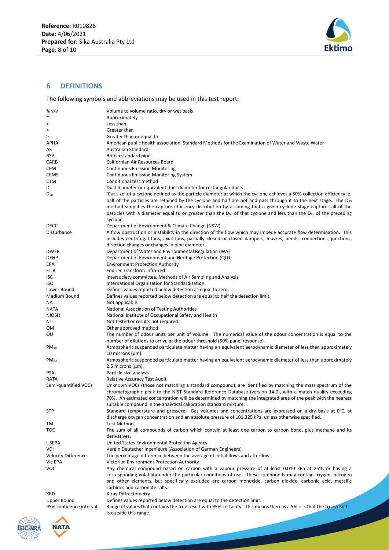

### <span id="page-7-0"></span>**6 DEFINITIONS**

The following symbols and abbreviations may be used in this test report:

| % v/v                      | Volume to volume ratio, dry or wet basis                                                                                                                                                                                                                                                                                                                                                                                                                                                                        |
|----------------------------|-----------------------------------------------------------------------------------------------------------------------------------------------------------------------------------------------------------------------------------------------------------------------------------------------------------------------------------------------------------------------------------------------------------------------------------------------------------------------------------------------------------------|
| $\tilde{\phantom{a}}$      | Approximately                                                                                                                                                                                                                                                                                                                                                                                                                                                                                                   |
| $\,<\,$                    | Less than                                                                                                                                                                                                                                                                                                                                                                                                                                                                                                       |
| $\, > \,$                  | Greater than                                                                                                                                                                                                                                                                                                                                                                                                                                                                                                    |
| ≥                          | Greater than or equal to                                                                                                                                                                                                                                                                                                                                                                                                                                                                                        |
| APHA                       | American public health association, Standard Methods for the Examination of Water and Waste Water                                                                                                                                                                                                                                                                                                                                                                                                               |
| AS                         | Australian Standard                                                                                                                                                                                                                                                                                                                                                                                                                                                                                             |
| BSP                        | British standard pipe                                                                                                                                                                                                                                                                                                                                                                                                                                                                                           |
| CARB                       | Californian Air Resources Board                                                                                                                                                                                                                                                                                                                                                                                                                                                                                 |
| CEM                        | <b>Continuous Emission Monitoring</b>                                                                                                                                                                                                                                                                                                                                                                                                                                                                           |
| CEMS                       | <b>Continuous Emission Monitoring System</b>                                                                                                                                                                                                                                                                                                                                                                                                                                                                    |
| CTM                        | Conditional test method                                                                                                                                                                                                                                                                                                                                                                                                                                                                                         |
| D                          | Duct diameter or equivalent duct diameter for rectangular ducts                                                                                                                                                                                                                                                                                                                                                                                                                                                 |
| $D_{50}$                   | 'Cut size' of a cyclone defined as the particle diameter at which the cyclone achieves a 50% collection efficiency ie.<br>half of the particles are retained by the cyclone and half are not and pass through it to the next stage. The $D_{50}$<br>method simplifies the capture efficiency distribution by assuming that a given cyclone stage captures all of the<br>particles with a diameter equal to or greater than the $D_{50}$ of that cyclone and less than the $D_{50}$ of the preceding<br>cyclone. |
| DECC                       | Department of Environment & Climate Change (NSW)                                                                                                                                                                                                                                                                                                                                                                                                                                                                |
| Disturbance                | A flow obstruction or instability in the direction of the flow which may impede accurate flow determination. This                                                                                                                                                                                                                                                                                                                                                                                               |
|                            | includes centrifugal fans, axial fans, partially closed or closed dampers, louvres, bends, connections, junctions,<br>direction changes or changes in pipe diameter.                                                                                                                                                                                                                                                                                                                                            |
| <b>DWER</b>                | Department of Water and Environmental Regulation (WA)                                                                                                                                                                                                                                                                                                                                                                                                                                                           |
| <b>DEHP</b>                | Department of Environment and Heritage Protection (QLD)                                                                                                                                                                                                                                                                                                                                                                                                                                                         |
| EPA                        | <b>Environment Protection Authority</b>                                                                                                                                                                                                                                                                                                                                                                                                                                                                         |
| <b>FTIR</b>                | Fourier Transform Infra-red                                                                                                                                                                                                                                                                                                                                                                                                                                                                                     |
| ISC                        | Intersociety committee, Methods of Air Sampling and Analysis                                                                                                                                                                                                                                                                                                                                                                                                                                                    |
| iso                        | International Organisation for Standardisation                                                                                                                                                                                                                                                                                                                                                                                                                                                                  |
| Lower Bound                | Defines values reported below detection as equal to zero.                                                                                                                                                                                                                                                                                                                                                                                                                                                       |
| Medium Bound               | Defines values reported below detection are equal to half the detection limit.                                                                                                                                                                                                                                                                                                                                                                                                                                  |
| ΝA                         | Not applicable                                                                                                                                                                                                                                                                                                                                                                                                                                                                                                  |
| NATA                       | National Association of Testing Authorities                                                                                                                                                                                                                                                                                                                                                                                                                                                                     |
| NIOSH                      | National Institute of Occupational Safety and Health                                                                                                                                                                                                                                                                                                                                                                                                                                                            |
| ΝT                         | Not tested or results not required                                                                                                                                                                                                                                                                                                                                                                                                                                                                              |
| ом                         | Other approved method                                                                                                                                                                                                                                                                                                                                                                                                                                                                                           |
| ου                         | The number of odour units per unit of volume. The numerical value of the odour concentration is equal to the                                                                                                                                                                                                                                                                                                                                                                                                    |
|                            | number of dilutions to arrive at the odour threshold (50% panel response).                                                                                                                                                                                                                                                                                                                                                                                                                                      |
| $PM_{10}$                  | Atmospheric suspended particulate matter having an equivalent aerodynamic diameter of less than approximately<br>10 microns $(\mu m)$ .                                                                                                                                                                                                                                                                                                                                                                         |
| PM <sub>2.5</sub>          | Atmospheric suspended particulate matter having an equivalent aerodynamic diameter of less than approximately<br>2.5 microns $(\mu m)$ .                                                                                                                                                                                                                                                                                                                                                                        |
| <b>PSA</b>                 | Particle size analysis                                                                                                                                                                                                                                                                                                                                                                                                                                                                                          |
| RATA                       | <b>Relative Accuracy Test Audit</b>                                                                                                                                                                                                                                                                                                                                                                                                                                                                             |
| Semi-quantified VOCs       | Unknown VOCs (those not matching a standard compound), are identified by matching the mass spectrum of the<br>chromatographic peak to the NIST Standard Reference Database (version 14.0), with a match quality exceeding<br>70%. An estimated concentration will be determined by matching the integrated area of the peak with the nearest<br>suitable compound in the analytical calibration standard mixture.                                                                                               |
| <b>STP</b>                 | Standard temperature and pressure. Gas volumes and concentrations are expressed on a dry basis at 0°C, at<br>discharge oxygen concentration and an absolute pressure of 101.325 kPa, unless otherwise specified.                                                                                                                                                                                                                                                                                                |
| TM                         | <b>Test Method</b>                                                                                                                                                                                                                                                                                                                                                                                                                                                                                              |
| тос                        | The sum of all compounds of carbon which contain at least one carbon to carbon bond, plus methane and its<br>derivatives.                                                                                                                                                                                                                                                                                                                                                                                       |
| <b>USEPA</b>               | United States Environmental Protection Agency                                                                                                                                                                                                                                                                                                                                                                                                                                                                   |
| VDI                        | Verein Deutscher Ingenieure (Association of German Engineers)                                                                                                                                                                                                                                                                                                                                                                                                                                                   |
| <b>Velocity Difference</b> | The percentage difference between the average of initial flows and afterflows.                                                                                                                                                                                                                                                                                                                                                                                                                                  |
| Vic EPA                    | Victorian Environment Protection Authority                                                                                                                                                                                                                                                                                                                                                                                                                                                                      |
| voc                        | Any chemical compound based on carbon with a vapour pressure of at least 0.010 kPa at 25°C or having a<br>corresponding volatility under the particular conditions of use. These compounds may contain oxygen, nitrogen<br>and other elements, but specifically excluded are carbon monoxide, carbon dioxide, carbonic acid, metallic<br>carbides and carbonate salts.                                                                                                                                          |
| XRD                        | X-ray Diffractometry                                                                                                                                                                                                                                                                                                                                                                                                                                                                                            |
| Upper Bound                | Defines values reported below detection are equal to the detection limit.                                                                                                                                                                                                                                                                                                                                                                                                                                       |
| 95% confidence interval    | Range of values that contains the true result with 95% certainty. This means there is a 5% risk that the true result<br>is outside this range.                                                                                                                                                                                                                                                                                                                                                                  |

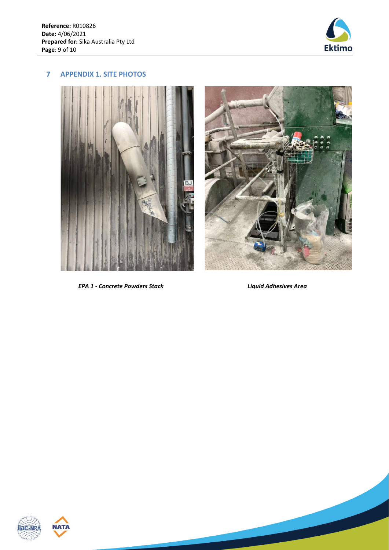

## <span id="page-8-0"></span>**7 APPENDIX 1. SITE PHOTOS**



*EPA 1 - Concrete Powders Stack Liquid Adhesives Area*